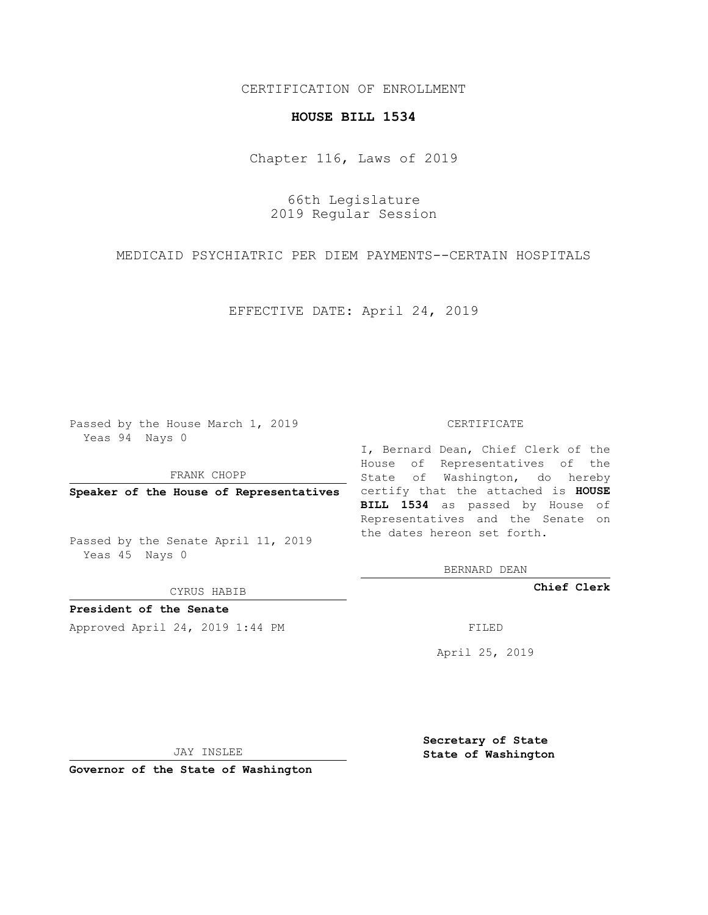## CERTIFICATION OF ENROLLMENT

## **HOUSE BILL 1534**

Chapter 116, Laws of 2019

66th Legislature 2019 Regular Session

MEDICAID PSYCHIATRIC PER DIEM PAYMENTS--CERTAIN HOSPITALS

EFFECTIVE DATE: April 24, 2019

Passed by the House March 1, 2019 Yeas 94 Nays 0

FRANK CHOPP

Passed by the Senate April 11, 2019 Yeas 45 Nays 0

CYRUS HABIB

**President of the Senate**

Approved April 24, 2019 1:44 PM FILED

## CERTIFICATE

**Speaker of the House of Representatives** certify that the attached is **HOUSE** I, Bernard Dean, Chief Clerk of the House of Representatives of the State of Washington, do hereby **BILL 1534** as passed by House of Representatives and the Senate on the dates hereon set forth.

BERNARD DEAN

**Chief Clerk**

April 25, 2019

JAY INSLEE

**Governor of the State of Washington**

**Secretary of State State of Washington**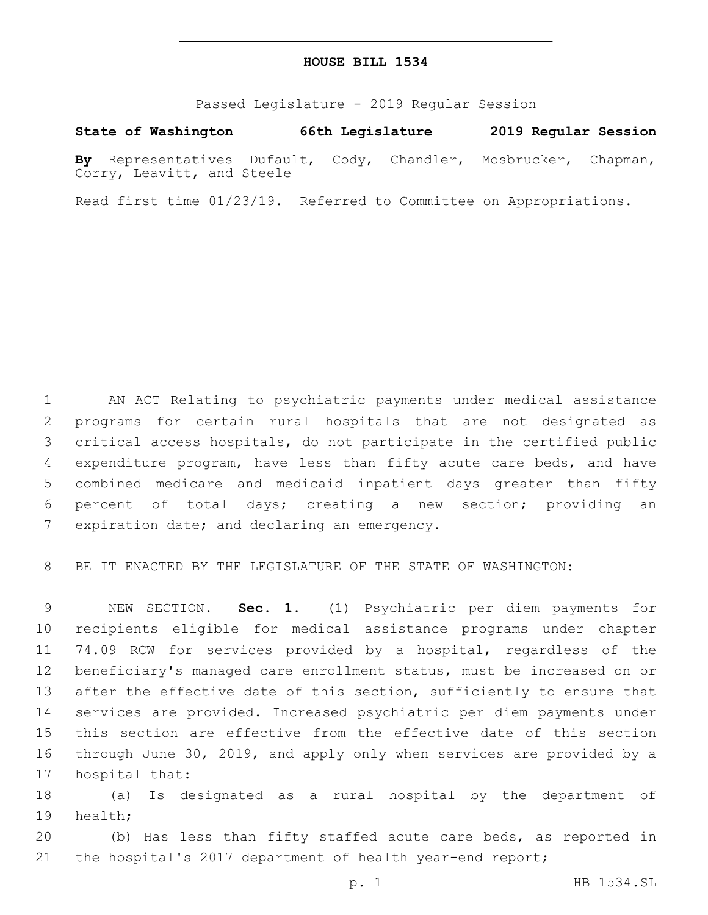## **HOUSE BILL 1534**

Passed Legislature - 2019 Regular Session

**State of Washington 66th Legislature 2019 Regular Session By** Representatives Dufault, Cody, Chandler, Mosbrucker, Chapman, Corry, Leavitt, and Steele

Read first time 01/23/19. Referred to Committee on Appropriations.

 AN ACT Relating to psychiatric payments under medical assistance programs for certain rural hospitals that are not designated as critical access hospitals, do not participate in the certified public expenditure program, have less than fifty acute care beds, and have combined medicare and medicaid inpatient days greater than fifty percent of total days; creating a new section; providing an 7 expiration date; and declaring an emergency.

BE IT ENACTED BY THE LEGISLATURE OF THE STATE OF WASHINGTON:

 NEW SECTION. **Sec. 1.** (1) Psychiatric per diem payments for recipients eligible for medical assistance programs under chapter 74.09 RCW for services provided by a hospital, regardless of the beneficiary's managed care enrollment status, must be increased on or 13 after the effective date of this section, sufficiently to ensure that services are provided. Increased psychiatric per diem payments under this section are effective from the effective date of this section through June 30, 2019, and apply only when services are provided by a hospital that:

 (a) Is designated as a rural hospital by the department of 19 health;

 (b) Has less than fifty staffed acute care beds, as reported in 21 the hospital's 2017 department of health year-end report;